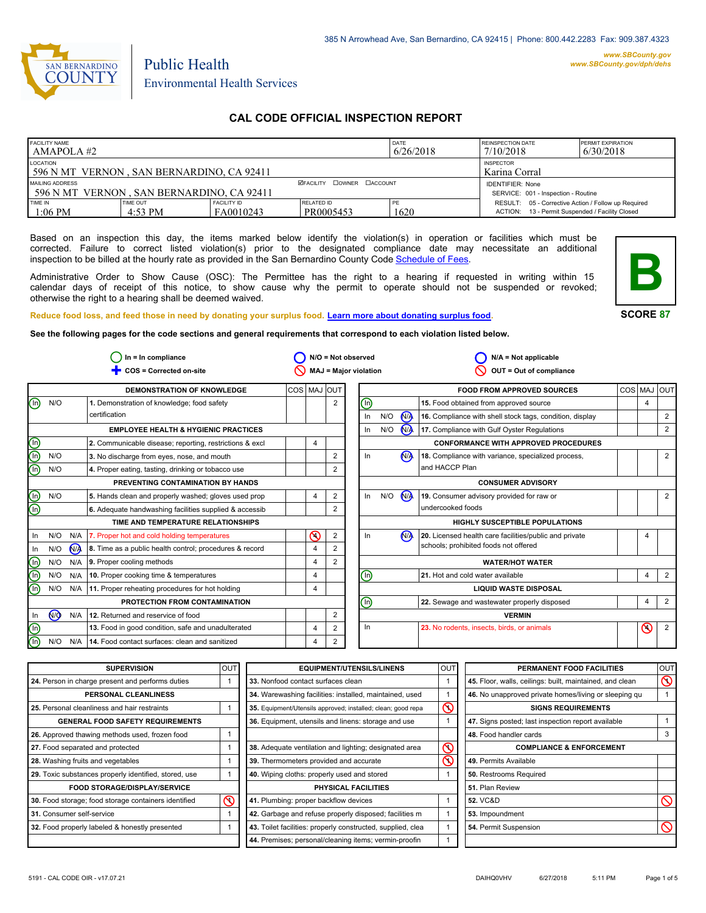

# Public Health Environmental Health Services

# **CAL CODE OFFICIAL INSPECTION REPORT**

| <b>FACILITY NAME</b><br>AMAPOLA #2                            |                     |                                 |                                  | DATE<br>6/26/2018 | <b>REINSPECTION DATE</b><br>7/10/2018                                                                  | <b>PERMIT EXPIRATION</b><br>6/30/2018 |
|---------------------------------------------------------------|---------------------|---------------------------------|----------------------------------|-------------------|--------------------------------------------------------------------------------------------------------|---------------------------------------|
| LOCATION<br>1596 N MT VERNON, SAN BERNARDINO, CA 92411        |                     |                                 |                                  |                   | <b>INSPECTOR</b><br>Karina Corral                                                                      |                                       |
| MAILING ADDRESS<br>1596 N MT VERNON, SAN BERNARDINO, CA 92411 |                     |                                 | <b>MEACILITY COWNER CACCOUNT</b> |                   | <b>IDENTIFIER: None</b><br>SERVICE: 001 - Inspection - Routine                                         |                                       |
| TIME IN<br>$1:06$ PM                                          | TIME OUT<br>4:53 PM | <b>FACILITY ID</b><br>FA0010243 | RELATED ID<br>PR0005453          | 1620              | RESULT: 05 - Corrective Action / Follow up Required<br>ACTION: 13 - Permit Suspended / Facility Closed |                                       |

Based on an inspection this day, the items marked below identify the violation(s) in operation or facilities which must be corrected. Failure to correct listed violation(s) prior to the designated compliance date may necessitate an additional inspection to be billed at the hourly rate as provided in the San Bernardino County Code Schedule [of Fees.](http://www.amlegal.com/nxt/gateway.dll/California/sanbernardinocounty_ca/title1governmentandadministration/division6countyfees/chapter2scheduleoffees?f=templates$fn=default.htm$3.0$vid=amlegal:sanbernardinocounty_ca$anc=JD_16.0213B)

Administrative Order to Show Cause (OSC): The Permittee has the right to a hearing if requested in writing within 15 calendar days of receipt of this notice, to show cause why the permit to operate should not be suspended or revoked; otherwise the right to a hearing shall be deemed waived.



### **SCORE 87**

**Reduce food loss, and feed those in need by donating your surplus food. Learn mor[e about donating surplus food.](http://wp.sbcounty.gov/dph/programs/ehs/food-facilities/)**

**See the following pages for the code sections and general requirements that correspond to each violation listed below.**

|                                |     |                | $In = In$ compliance                                    |             |                | $N/O = Not observed$         |                                                       |     |                | $N/A = Not applicable$                                   |     |                |                |
|--------------------------------|-----|----------------|---------------------------------------------------------|-------------|----------------|------------------------------|-------------------------------------------------------|-----|----------------|----------------------------------------------------------|-----|----------------|----------------|
|                                |     |                | COS = Corrected on-site                                 |             |                | <b>MAJ = Major violation</b> |                                                       |     |                | OUT = Out of compliance                                  |     |                |                |
|                                |     |                | <b>DEMONSTRATION OF KNOWLEDGE</b>                       | COS MAJ OUT |                |                              |                                                       |     |                | <b>FOOD FROM APPROVED SOURCES</b>                        | COS | MAJ            | loutl          |
| $\textcircled{\scriptsize{1}}$ | N/O |                | 1. Demonstration of knowledge; food safety              |             |                | $\overline{2}$               | ℗                                                     |     |                | 15. Food obtained from approved source                   |     | $\overline{4}$ |                |
|                                |     |                | certification                                           |             |                |                              | In                                                    | N/O | <b>NA</b>      | 16. Compliance with shell stock tags, condition, display |     |                | 2              |
|                                |     |                | <b>EMPLOYEE HEALTH &amp; HYGIENIC PRACTICES</b>         |             |                |                              | $\ln$                                                 | N/O | $\mathbf{M}$   | 17. Compliance with Gulf Oyster Regulations              |     |                | 2              |
| $\mathop{\mathsf{C}}\nolimits$ |     |                | 2. Communicable disease; reporting, restrictions & excl |             | $\overline{4}$ |                              |                                                       |     |                | <b>CONFORMANCE WITH APPROVED PROCEDURES</b>              |     |                |                |
|                                | N/O |                | 3. No discharge from eyes, nose, and mouth              |             |                | 2                            | In                                                    |     | N <sub>A</sub> | 18. Compliance with variance, specialized process,       |     |                | 2              |
|                                | N/O |                | 4. Proper eating, tasting, drinking or tobacco use      |             |                | 2                            |                                                       |     |                | and HACCP Plan                                           |     |                |                |
|                                |     |                | PREVENTING CONTAMINATION BY HANDS                       |             |                |                              |                                                       |     |                | <b>CONSUMER ADVISORY</b>                                 |     |                |                |
|                                | N/O |                | 5. Hands clean and properly washed; gloves used prop    |             | 4              | 2                            | $\ln$                                                 | N/O | N              | 19. Consumer advisory provided for raw or                |     |                | 2              |
| GIG                            |     |                | 6. Adequate handwashing facilities supplied & accessib  |             |                | 2                            |                                                       |     |                | undercooked foods                                        |     |                |                |
|                                |     |                | TIME AND TEMPERATURE RELATIONSHIPS                      |             |                |                              |                                                       |     |                | <b>HIGHLY SUSCEPTIBLE POPULATIONS</b>                    |     |                |                |
| In                             | N/O |                | N/A   7. Proper hot and cold holding temperatures       |             | の              | 2                            | In                                                    |     | N <sub>A</sub> | 20. Licensed health care facilities/public and private   |     | 4              |                |
| In                             | N/O | N <sub>A</sub> | 8. Time as a public health control; procedures & record |             | $\overline{4}$ | 2                            |                                                       |     |                | schools; prohibited foods not offered                    |     |                |                |
| <u>ම</u>                       | N/O | N/A            | 9. Proper cooling methods                               |             | $\overline{4}$ | $\overline{2}$               |                                                       |     |                | <b>WATER/HOT WATER</b>                                   |     |                |                |
| $\overline{\mathbb{O}}$        | N/O | N/A            | 10. Proper cooking time & temperatures                  |             | $\overline{4}$ |                              | ⓪                                                     |     |                | 21. Hot and cold water available                         |     | 4              | 2              |
| ⋒                              | N/O |                | N/A 11. Proper reheating procedures for hot holding     |             | 4              |                              | <b>LIQUID WASTE DISPOSAL</b>                          |     |                |                                                          |     |                |                |
|                                |     |                | PROTECTION FROM CONTAMINATION                           |             |                |                              | ⊚<br>4<br>22. Sewage and wastewater properly disposed |     |                | $\overline{2}$                                           |     |                |                |
| In                             | (ਔ  | N/A            | 12. Returned and reservice of food                      |             |                | 2                            |                                                       |     |                | <b>VERMIN</b>                                            |     |                |                |
| $\circledcirc$                 |     |                | 13. Food in good condition, safe and unadulterated      |             | $\overline{4}$ | 2                            | In                                                    |     |                | 23. No rodents, insects, birds, or animals               |     | $\odot$        | $\overline{2}$ |
| $\overline{\mathbb{O}}$        | N/O | N/A            | 14. Food contact surfaces: clean and sanitized          |             | $\overline{4}$ | 2                            |                                                       |     |                |                                                          |     |                |                |

| <b>SUPERVISION</b>                                    | <b>OUT</b>     | <b>EQUIPMENT/UTENSILS/LINENS</b>                             | <b>OUT</b>              | PERMANENT FOOD FACILITIES                                | OUT            |
|-------------------------------------------------------|----------------|--------------------------------------------------------------|-------------------------|----------------------------------------------------------|----------------|
| 24. Person in charge present and performs duties      |                | 33. Nonfood contact surfaces clean                           |                         | 45. Floor, walls, ceilings: built, maintained, and clean | $\circledcirc$ |
| PERSONAL CLEANLINESS                                  |                | 34. Warewashing facilities: installed, maintained, used      |                         | 46. No unapproved private homes/living or sleeping gu    |                |
| 25. Personal cleanliness and hair restraints          |                | 35. Equipment/Utensils approved; installed; clean; good repa | $\mathcal{O}$           | <b>SIGNS REQUIREMENTS</b>                                |                |
| <b>GENERAL FOOD SAFETY REQUIREMENTS</b>               |                | 36. Equipment, utensils and linens: storage and use          |                         | 47. Signs posted; last inspection report available       |                |
| 26. Approved thawing methods used, frozen food        |                |                                                              |                         | 48. Food handler cards                                   |                |
| 27. Food separated and protected                      |                | 38. Adequate ventilation and lighting; designated area       | $\circledcirc$          | <b>COMPLIANCE &amp; ENFORCEMENT</b>                      |                |
| 28. Washing fruits and vegetables                     |                | 39. Thermometers provided and accurate                       | $\overline{\mathsf{C}}$ | 49. Permits Available                                    |                |
| 29. Toxic substances properly identified, stored, use |                | 40. Wiping cloths: properly used and stored                  |                         | 50. Restrooms Required                                   |                |
| <b>FOOD STORAGE/DISPLAY/SERVICE</b>                   |                | <b>PHYSICAL FACILITIES</b>                                   |                         | 51. Plan Review                                          |                |
| 30. Food storage; food storage containers identified  | $\circledcirc$ | 41. Plumbing: proper backflow devices                        |                         | <b>52. VC&amp;D</b>                                      | $\infty$       |
| 31. Consumer self-service                             |                | 42. Garbage and refuse properly disposed; facilities m       |                         | 53. Impoundment                                          |                |
| 32. Food properly labeled & honestly presented        |                | 43. Toilet facilities: properly constructed, supplied, clea  |                         | 54. Permit Suspension                                    |                |
|                                                       |                | 44. Premises; personal/cleaning items; vermin-proofin        |                         |                                                          |                |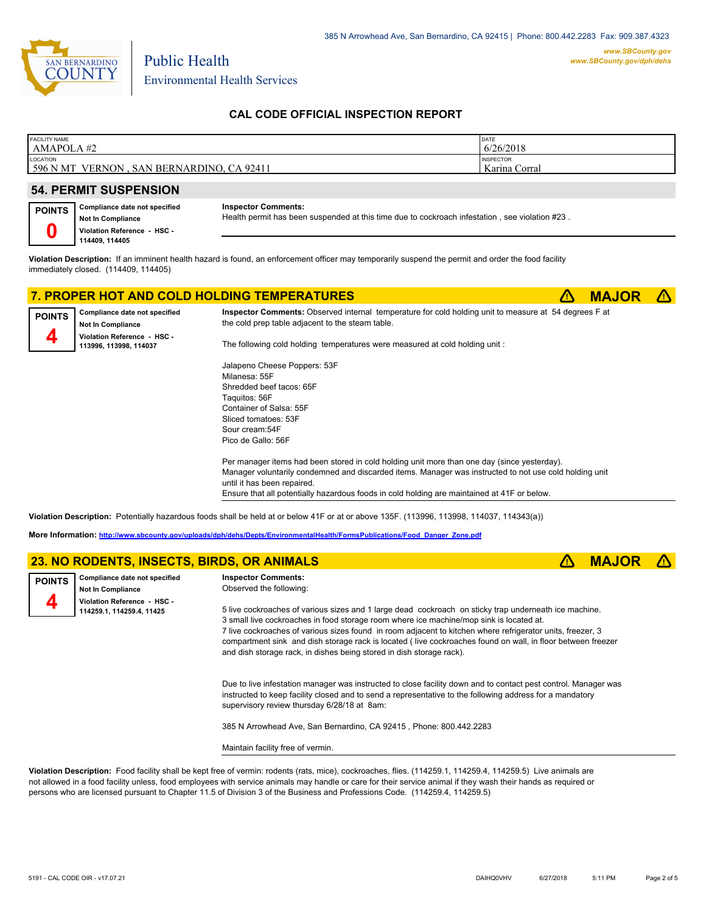

Public Health

# **CAL CODE OFFICIAL INSPECTION REPORT**

| <b>FACILITY NAME</b>                                        | DATE                              |
|-------------------------------------------------------------|-----------------------------------|
| AMAPOLA#2                                                   | 6/26/2018                         |
| LOCATION<br>596 N MT<br>SAN BERNARDINO, CA 92411<br>VERNON. | <b>INSPECTOR</b><br>Karina Corral |

# **54. PERMIT SUSPENSION**

| <b>POINTS</b> | Compliance date not specified |
|---------------|-------------------------------|
|               | Not In Compliance             |
|               | Violation Reference - HSC -   |
|               | 114409, 114405                |

#### **Inspector Comments:**

Health permit has been suspended at this time due to cockroach infestation , see violation #23 .

**Violation Description:** If an imminent health hazard is found, an enforcement officer may temporarily suspend the permit and order the food facility immediately closed. (114409, 114405)

# **7. PROPER HOT AND COLD HOLDING TEMPERATURES <b>A MAJOR A**



**Compliance date not specified Not In Compliance Violation Reference - HSC - 113996, 113998, 114037 POINTS 4**

**Inspector Comments:** Observed internal temperature for cold holding unit to measure at 54 degrees F at the cold prep table adjacent to the steam table.

The following cold holding temperatures were measured at cold holding unit :

Jalapeno Cheese Poppers: 53F Milanesa: 55F Shredded beef tacos: 65F Taquitos: 56F Container of Salsa: 55F Sliced tomatoes: 53F Sour cream:54F Pico de Gallo: 56F

Per manager items had been stored in cold holding unit more than one day (since yesterday). Manager voluntarily condemned and discarded items. Manager was instructed to not use cold holding unit until it has been repaired. Ensure that all potentially hazardous foods in cold holding are maintained at 41F or below.

**Violation Description:** Potentially hazardous foods shall be held at or below 41F or at or above 135F. (113996, 113998, 114037, 114343(a))

**More Information: [http://www.sbcounty.gov/uploads/dph/dehs/Depts/EnvironmentalHealth/FormsPublications/Food\\_Danger\\_Zone.pdf](http://www.sbcounty.gov/uploads/dph/dehs/Depts/EnvironmentalHealth/FormsPublications/Food_Danger_Zone.pdf)**

|               | 23. NO RODENTS, INSECTS, BIRDS, OR ANIMALS                |                                                                                                                                                                                                                                                                                                                                                                                                                                                                                                       | <b>MAJO</b> |  |
|---------------|-----------------------------------------------------------|-------------------------------------------------------------------------------------------------------------------------------------------------------------------------------------------------------------------------------------------------------------------------------------------------------------------------------------------------------------------------------------------------------------------------------------------------------------------------------------------------------|-------------|--|
| <b>POINTS</b> | Compliance date not specified<br><b>Not In Compliance</b> | <b>Inspector Comments:</b><br>Observed the following:                                                                                                                                                                                                                                                                                                                                                                                                                                                 |             |  |
|               | Violation Reference - HSC -<br>114259.1, 114259.4, 11425  | 5 live cockroaches of various sizes and 1 large dead cockroach on sticky trap underneath ice machine.<br>3 small live cockroaches in food storage room where ice machine/mop sink is located at.<br>7 live cockroaches of various sizes found in room adjacent to kitchen where refrigerator units, freezer, 3<br>compartment sink and dish storage rack is located (live cockroaches found on wall, in floor between freezer<br>and dish storage rack, in dishes being stored in dish storage rack). |             |  |
|               |                                                           | Due to live infestation manager was instructed to close facility down and to contact pest control. Manager was<br>instructed to keep facility closed and to send a representative to the following address for a mandatory<br>supervisory review thursday 6/28/18 at 8am:<br>385 N Arrowhead Ave, San Bernardino, CA 92415, Phone: 800.442.2283                                                                                                                                                       |             |  |
|               |                                                           | Maintain facility free of vermin.                                                                                                                                                                                                                                                                                                                                                                                                                                                                     |             |  |

**Violation Description:** Food facility shall be kept free of vermin: rodents (rats, mice), cockroaches, flies. (114259.1, 114259.4, 114259.5) Live animals are not allowed in a food facility unless, food employees with service animals may handle or care for their service animal if they wash their hands as required or persons who are licensed pursuant to Chapter 11.5 of Division 3 of the Business and Professions Code. (114259.4, 114259.5)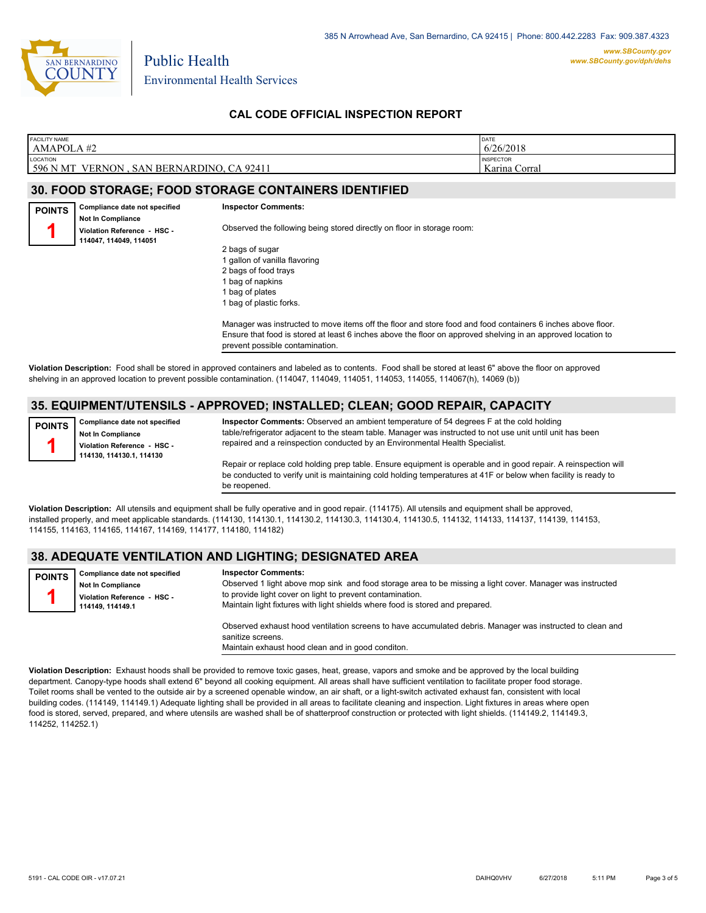

Public Health

# **CAL CODE OFFICIAL INSPECTION REPORT**

| <b>FACILITY NAME</b>                                         | DATE                              |
|--------------------------------------------------------------|-----------------------------------|
| AMAPOLA#2                                                    | 6/26/2018                         |
| LOCATION<br>596 N MT<br>VERNON<br>, SAN BERNARDINO, CA 92411 | <b>INSPECTOR</b><br>Karina Corral |

### **30. FOOD STORAGE; FOOD STORAGE CONTAINERS IDENTIFIED**

**Compliance date not specified Not In Compliance Violation Reference - HSC - 114047, 114049, 114051 POINTS 1 Inspector Comments:**  Observed the following being stored directly on floor in storage room:

2 bags of sugar 1 gallon of vanilla flavoring 2 bags of food trays 1 bag of napkins 1 bag of plates 1 bag of plastic forks.

Manager was instructed to move items off the floor and store food and food containers 6 inches above floor. Ensure that food is stored at least 6 inches above the floor on approved shelving in an approved location to prevent possible contamination.

**Violation Description:** Food shall be stored in approved containers and labeled as to contents. Food shall be stored at least 6" above the floor on approved shelving in an approved location to prevent possible contamination. (114047, 114049, 114051, 114053, 114055, 114067(h), 14069 (b))

# **35. EQUIPMENT/UTENSILS - APPROVED; INSTALLED; CLEAN; GOOD REPAIR, CAPACITY**

**Compliance date not specified Not In Compliance POINTS**

**Violation Reference - HSC - 114130, 114130.1, 114130**

**1**

**Inspector Comments:** Observed an ambient temperature of 54 degrees F at the cold holding table/refrigerator adjacent to the steam table. Manager was instructed to not use unit until unit has been repaired and a reinspection conducted by an Environmental Health Specialist.

Repair or replace cold holding prep table. Ensure equipment is operable and in good repair. A reinspection will be conducted to verify unit is maintaining cold holding temperatures at 41F or below when facility is ready to be reopened.

**Violation Description:** All utensils and equipment shall be fully operative and in good repair. (114175). All utensils and equipment shall be approved, installed properly, and meet applicable standards. (114130, 114130.1, 114130.2, 114130.3, 114130.4, 114130.5, 114132, 114133, 114137, 114139, 114153, 114155, 114163, 114165, 114167, 114169, 114177, 114180, 114182)

### **38. ADEQUATE VENTILATION AND LIGHTING; DESIGNATED AREA**

**Compliance date not specified Not In Compliance Violation Reference - HSC - 114149, 114149.1 POINTS 1 Inspector Comments:**  Observed 1 light above mop sink and food storage area to be missing a light cover. Manager was instructed to provide light cover on light to prevent contamination. Maintain light fixtures with light shields where food is stored and prepared.

Observed exhaust hood ventilation screens to have accumulated debris. Manager was instructed to clean and sanitize screens. Maintain exhaust hood clean and in good conditon.

**Violation Description:** Exhaust hoods shall be provided to remove toxic gases, heat, grease, vapors and smoke and be approved by the local building department. Canopy-type hoods shall extend 6" beyond all cooking equipment. All areas shall have sufficient ventilation to facilitate proper food storage. Toilet rooms shall be vented to the outside air by a screened openable window, an air shaft, or a light-switch activated exhaust fan, consistent with local building codes. (114149, 114149.1) Adequate lighting shall be provided in all areas to facilitate cleaning and inspection. Light fixtures in areas where open food is stored, served, prepared, and where utensils are washed shall be of shatterproof construction or protected with light shields. (114149.2, 114149.3, 114252, 114252.1)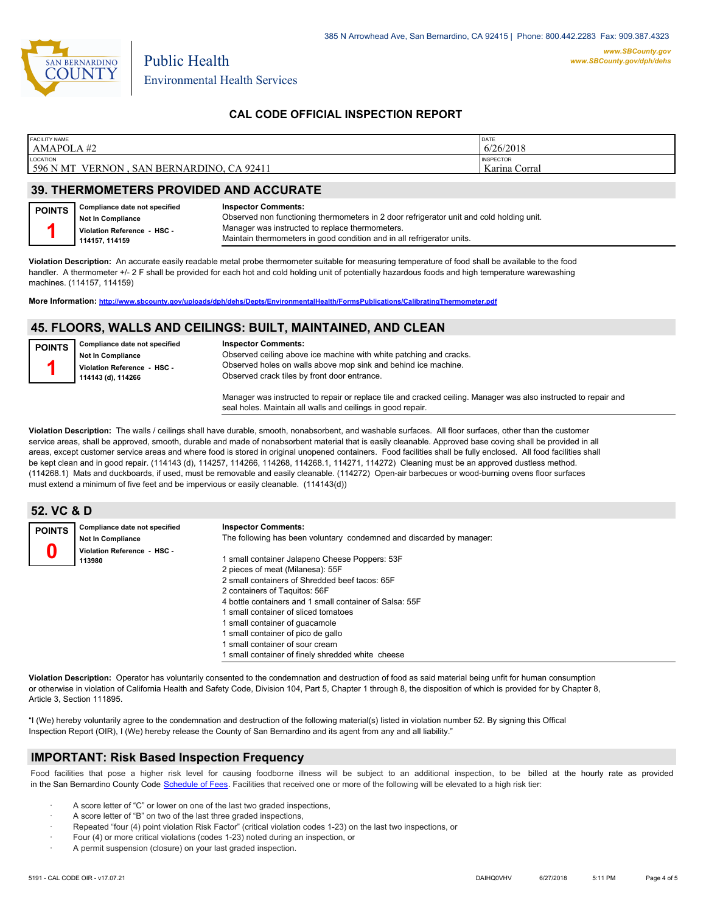

# **CAL CODE OFFICIAL INSPECTION REPORT**

| 6/26/2018<br>AMAPOLA#2                                                                             |  |
|----------------------------------------------------------------------------------------------------|--|
| LOCATION<br><b>INSPECTOR</b><br>596 N MT<br>Karina Corral<br>VERNON.<br>, SAN BERNARDINO, CA 92411 |  |

### **39. THERMOMETERS PROVIDED AND ACCURATE**

Public Health

| <b>POINTS</b> | Compliance date not specified | <b>Inspector Comments:</b>                                                               |
|---------------|-------------------------------|------------------------------------------------------------------------------------------|
|               | <b>Not In Compliance</b>      | Observed non functioning thermometers in 2 door refrigerator unit and cold holding unit. |
|               | Violation Reference - HSC -   | Manager was instructed to replace thermometers.                                          |
|               | 114157.114159                 | Maintain thermometers in good condition and in all refrigerator units.                   |

**Violation Description:** An accurate easily readable metal probe thermometer suitable for measuring temperature of food shall be available to the food handler. A thermometer +/- 2 F shall be provided for each hot and cold holding unit of potentially hazardous foods and high temperature warewashing machines. (114157, 114159)

**More Information: <http://www.sbcounty.gov/uploads/dph/dehs/Depts/EnvironmentalHealth/FormsPublications/CalibratingThermometer.pdf>**

#### **45. FLOORS, WALLS AND CEILINGS: BUILT, MAINTAINED, AND CLEAN**

| <b>POINTS</b> | Compliance date not specified<br><b>Not In Compliance</b><br>Violation Reference - HSC -<br>114143 (d), 114266 | <b>Inspector Comments:</b><br>Observed ceiling above ice machine with white patching and cracks.<br>Observed holes on walls above mop sink and behind ice machine.<br>Observed crack tiles by front door entrance. |
|---------------|----------------------------------------------------------------------------------------------------------------|--------------------------------------------------------------------------------------------------------------------------------------------------------------------------------------------------------------------|
|               |                                                                                                                | Manager was instructed to repair or replace tile and cracked ceiling. Manager was also instructed to repair and<br>seal holes. Maintain all walls and ceilings in good repair.                                     |

**Violation Description:** The walls / ceilings shall have durable, smooth, nonabsorbent, and washable surfaces. All floor surfaces, other than the customer service areas, shall be approved, smooth, durable and made of nonabsorbent material that is easily cleanable. Approved base coving shall be provided in all areas, except customer service areas and where food is stored in original unopened containers. Food facilities shall be fully enclosed. All food facilities shall be kept clean and in good repair. (114143 (d), 114257, 114266, 114268, 114268.1, 114271, 114272) Cleaning must be an approved dustless method. (114268.1) Mats and duckboards, if used, must be removable and easily cleanable. (114272) Open-air barbecues or wood-burning ovens floor surfaces must extend a minimum of five feet and be impervious or easily cleanable. (114143(d))

| 52. VC & D    |                                       |                                                                                                                                                                                                                                                                                                                                                                                   |
|---------------|---------------------------------------|-----------------------------------------------------------------------------------------------------------------------------------------------------------------------------------------------------------------------------------------------------------------------------------------------------------------------------------------------------------------------------------|
| <b>POINTS</b> | Compliance date not specified         | <b>Inspector Comments:</b>                                                                                                                                                                                                                                                                                                                                                        |
|               | <b>Not In Compliance</b>              | The following has been voluntary condemned and discarded by manager:                                                                                                                                                                                                                                                                                                              |
|               | Violation Reference - HSC -<br>113980 | I small container Jalapeno Cheese Poppers: 53F<br>2 pieces of meat (Milanesa): 55F<br>2 small containers of Shredded beef tacos: 65F<br>2 containers of Taguitos: 56F<br>4 bottle containers and 1 small container of Salsa: 55F<br>I small container of sliced tomatoes<br>1 small container of quacamole<br>I small container of pico de gallo<br>small container of sour cream |
|               |                                       | I small container of finely shredded white cheese                                                                                                                                                                                                                                                                                                                                 |

**Violation Description:** Operator has voluntarily consented to the condemnation and destruction of food as said material being unfit for human consumption or otherwise in violation of California Health and Safety Code, Division 104, Part 5, Chapter 1 through 8, the disposition of which is provided for by Chapter 8, Article 3, Section 111895.

"I (We) hereby voluntarily agree to the condemnation and destruction of the following material(s) listed in violation number 52. By signing this Offical Inspection Report (OIR), I (We) hereby release the County of San Bernardino and its agent from any and all liability."

#### **IMPORTANT: Risk Based Inspection Frequency**

Food facilities that pose a higher risk level for causing foodborne illness will be subject to an additional inspection, to be billed at the hourly rate as provided in the San Bernardino County Code S[chedule of Fees. Facilitie](http://www.amlegal.com/nxt/gateway.dll/California/sanbernardinocounty_ca/title1governmentandadministration/division6countyfees/chapter2scheduleoffees?f=templates$fn=default.htm$3.0$vid=amlegal:sanbernardinocounty_ca$anc=JD_16.0213B)s that received one or more of the following will be elevated to a high risk tier:

- A score letter of "C" or lower on one of the last two graded inspections,
- A score letter of "B" on two of the last three graded inspections,
- Repeated "four (4) point violation Risk Factor" (critical violation codes 1-23) on the last two inspections, or
- · Four (4) or more critical violations (codes 1-23) noted during an inspection, or
- A permit suspension (closure) on your last graded inspection.